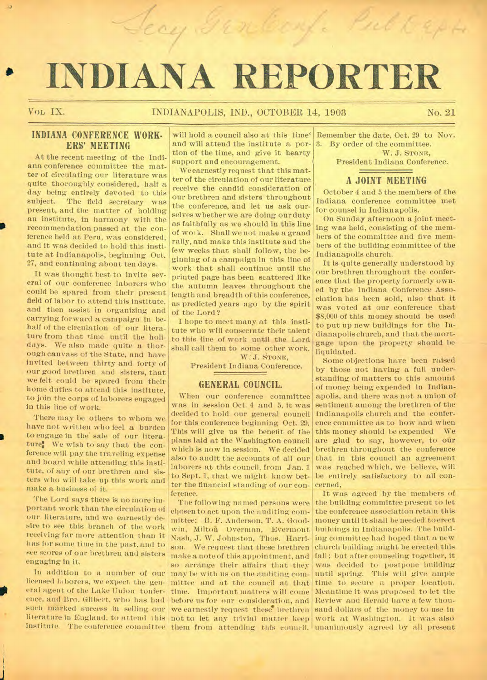# **• INDIANA RE ORTER**

Jean Genberg. Publicph

.1

# VOL IX. INDIANAPOLIS, IND., OCTOBER 14, 1903 No. 21

# **INDIANA CONFERENCE WORK-ERS' MEETING**

At the recent meeting of the Indiana conference committee the matter of circulating our literature was quite thoroughly considered, half a day being entirely devoted to this<br>subject. The field secretary was The field secretary was present, and the matter of holding an institute, in harmony with the recommendation passed at the conference held at Peru, was considered, and it was decided to hold this institute at Indianapolis, beginning Oct. 27, and continuing about ten days.

It was thought best to invite several of our conference laborers who could be spared from their present field of labor to attend this institute, and then assist in organizing and carrying forward a campaign in behalf of the circulation of our literature from that time until the holidays. We also made quite a thorough canvass of the State, and have invited between thirty and forty of our good brethren and sisters, that we felt could be spared from their home duties to attend this institute, to join the corps of laborers engaged in this line of work.

There may be others to whom we have not written who feel a burden to engage in the sale of our literature. We wish to say that the conference will pay the traveling expense and board while attending this institute, of any of our brethren and sisters who will take up this work and make a business of it.

The Lord says there is no more important work than the circulation of our literature, and we earnestly desire to see this branch of the work receiving far more attention than it has for some time in the past, and to see scores of our brethren and sisters engaging in it.

licensed laborers, we expect the general agent of the Lake Union touterence, and Bro. Gilbert, who has had before us for our consideration, and Review and Herald have a few thousuch marked success in selling our we earnestly request these brethren sand dollars of the money to use in

will hold a council also at this time' and will attend the institute a portion of the time, and give it hearty support and encouragement.

We earnestly request that this matter of the circulation of our literature receive the candid consideration of our brethren and sisters throughout the conference, and let us ask ourselves whether we are doing our duty as faithfully as we should in this line of work. Shall we not make a grand rally, and make this institute and the few weeks that shall follow, the beginning of a campaign in this line of work that shall continue until the printed page has been scattered like the autumn leaves throughout the length and breadth of this conference, as predicted years ago by the spirit of the Lord ?

I hope to meet many at this institute who will consecrate their talent to this line of work until the Lord shall call them to some other work.

W. J. STONE.

President Indiana Conference.

#### **GENERAL COUNCIL.**

When our conference committee was in session Oct. 4 and 5, it was decided to hold our general council for this conference beginning Oct. 29. This will give us the benefit of the plans laid at the Washington council which is now in session. We decided also to audit the accounts of all our laborers at this council, from Jan. 1 to Sept. 1, that we might know better the financial standing of our conference.

In addition to a number of our  $\left| \max \right|$  be with us on the auditing cominstitute. The conference committee them from attending this conneil. unanimously agreed by all present The following named persons were chosen to act upon the auditing committee: B. F. Anderson, T. A. Goodwin, Milton Overman, Evermont Nash, J. W. Johnston, Thos. Harrison. We request that these brethren make a note of this appointment, and so arrange their affairs that they

Remember the date, Oct. 29 to Nov. 3. By order of the committee. W. J. STONE.

President Indiana Conference.

#### **A JOINT MEETING**

October 4 and 5 the members of the Indiana conference committee met for counsel in Indianapolis.

On Sunday afternoon a joint meeting was held, consisting of the members of the committee and five members of the building committee of the Indianapolis church.

It is quite generally understood by our brethren throughout the conference that the property formerly owned by the Indiana Conference Association has been sold, also' that it was voted at our conference that \$8,000 of this money should be used to put up new buildings for the Indianapolis church, and that the mortgage upon the property should be liquidated.

Some objections have been raised by those not having a full understanding of matters to this amount of money being expended in Indianapolis, and there was not a union of sentiment among the brethren of the Indianapolis church and the conference committee as to how and when this money should be expended We are glad to say, however, to our brethren throughout the conference that in this council an agreement was reached which, we believe, will be entirely satisfactory to all concerned,

literature in England, to attend this not to let any trivial matter keep work at Washington. It was also mittee and at the council at that time to secure a proper location, time. Important matters will come Meantime it was proposed to let the It was agreed by the members of the building committee present to let the conference association retain this money until it shall be needed to erect buildings in Indianapolis. The building committee had hoped that a new church building might be erected this fall; but after counseling together, it was decided to postpone building until spring. This will give ample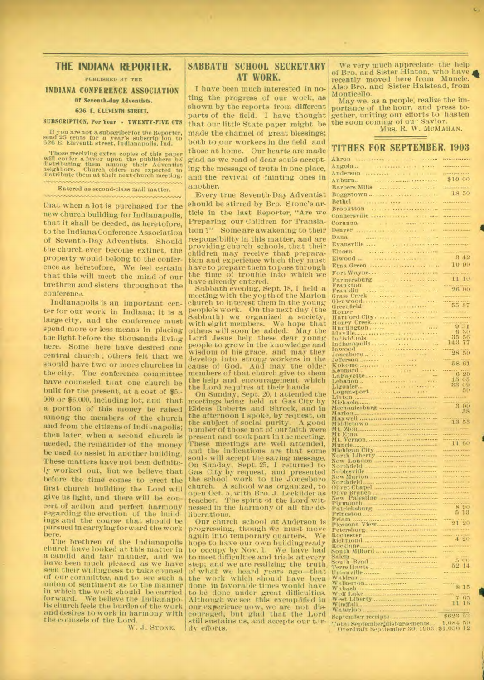# **THE INDIANA REPORTER.**

**PUBLISHED BY THE** 

# **INDIANA CONFERENCE ASSOCIATION Of Seventh-day Adventists.**

#### **626 E. ELEVENTH STREET. SUBSCRIPTION. Per Year • TWENTY-FIVE CTS**

**If** you are not a subscriber for the Reporter, send 25 cents for a year's subscription to 626 E. Eleventh street, Indianapolis, Ind.

Those receiving extra copies of this paper will confer a favor upon the publishers  $bS$  neighbors. Church elders are expected to distribute them at their next church meeting.

Entered as second-class mail matter.

that when a lot is purchased for the new church building for Iudiauapolis, that it shall be deeded, as heretofore, to the Indiana Conference Association of Seventh-Day Adventists. Should the church ever become extinct, the property would belong to the conference as heretofore, We feel certain that this will meet the mind of our brethren and sisters throughout the conference.

Indianapolis is an important center for our work in Indiana; it is a large city, and the conference must spend more or less means in placing the light before the thousands living here. Some here have desired one central church ; others felt that we should have two or more churches in the city. The conference committee have counseled that one church be built for the present, at a cost of \$5,- 000 or \$6,000, including lot, and that a portion of this money be raised among the members of the church and from the citizens of Indianapolis; then later, when a second church is needed, the remainder of the money be used to assist in another building. These matters have not been definitely worked out, but we believe that before the time comes to erect the first church building the Lord will give us light, and there will be concert of action and perfect harmony regarding the erection of the buildings and the course that should be pursued in carrying forward the work here.

The brethren of the Indianapolis church have looked at this matter in a candid and fair manner, and we have been much pleased as we have seen their willingness to take counsel of our committee, and to see such a union of sentiment as to the manner in which the work should be carried forward. We believe the Indianapolis church feels the burden of the work and desires to work in harmony with the counsels of the Lord.

W. J. STONE.

# **SABBATH SCHOOL SECRETARY AT WORK.**

I have been much interested in noting the progress of our work, as shown by the reports from different parts of the field. I have thought that our little State paper might be made the channel of great blessings; both to our workers in the field and those at home. Our hearts are made glad as we read of dear souls accepting the message of trutn in one place, and the revival of fainting ones in another:

Every true Seventh-Day Adventist should be stirred by Bro. Stone's article in the last Reporter, "Are we Preparing our Children for Translation ?" Some are awakening to their responsibility in this matter, and are providing church schools, that their children may receive that preparation and experience which they must have to prepare them to pass through the time of trouble into which we have already entered.

Sabbath evening, Sept. 18, I held a meeting with the yopth of the Marion chureh to interest them in the young people's work. On the next day (the Sabbath) we organized a society, with eight members. We hope that others will soon be added. May the Lord Jesus help these dear young people to grow in the knowledge and wisdom of his grace, and may they develop into strong workers in the cause of God. And may the older members of that church give to them the help and encouragement which the Lord requires at their hands.

On Sunday, Sept. 20, I attended the meetings being held at Gas City by Elders Roberts and Shrock, and in the afternoon I spoke, by request, on the subject of social purity. A good number of those not of our faith were present and took part in the meeting. These meetings are well attended, and the indications are that some soul-4 will accept the saving message. On Sunday, Sept. 25, I returned to Gas City by request, and presented the school work to the Jonesboro church. A school was organized, to open Oct. 5, with Bro. J. Lecklider as teacher. The spirit of the Lord Witnessed in the harmony of all the deliberations.

Our church school at Anderson is progressing, though we must move<br>again into temporary quarters. We again into temporary quarters. hope to have our own building ready to occupy by Nov. 1. We have had to meet difficulties and trials at every step; and we are realizing the truth of what we heard years ago—that the work which should have been done in favorable times would have to be done under great difficulties. Although we see this exempiffied in our experience now, we are not discouraged, but glad that the Lord still sustains us, and accepts our tardy efforts.

We very much appreciate the help of Bro. and Sister Hinton, who have recently moved here from Muncie. Also Bro. and Sister Halstead, from Monticello.

May we, as a people, realize the importance of the hour, and press together, uniting our efforts to hasten the soon coming of our Savior. MRS. R. W. MCMAHAN.

### **TITHES FOR SEPTEMBER, 1903**

| Sales Service Co.<br>Akron                                                                                                                                                                                                                                       | <b>Little contractor</b>                           |
|------------------------------------------------------------------------------------------------------------------------------------------------------------------------------------------------------------------------------------------------------------------|----------------------------------------------------|
| <b>Continued</b><br>$\cdots$<br>1.1.1.1<br>Angola.                                                                                                                                                                                                               |                                                    |
| Anderson<br>$4 - 1$ ( $1 - 1$ ) $1 - 1$                                                                                                                                                                                                                          | \$10 00                                            |
| Auburn. De Berlingen Herrich                                                                                                                                                                                                                                     |                                                    |
| $1.1 - 1.1$                                                                                                                                                                                                                                                      | 18 50                                              |
| Boggstown<br>Bethel <b>Experience and Services</b>                                                                                                                                                                                                               | .                                                  |
|                                                                                                                                                                                                                                                                  |                                                    |
| Connersville<br><b>GETTY HEMI</b>                                                                                                                                                                                                                                |                                                    |
| <b>SEVILLE</b><br>$\sim$ $\sim$<br>$1.14 - 1.000$<br>Corunna                                                                                                                                                                                                     |                                                    |
| 100 000                                                                                                                                                                                                                                                          | <b>Committee</b>                                   |
| $\sim 10^{-11}$ eV.                                                                                                                                                                                                                                              |                                                    |
|                                                                                                                                                                                                                                                                  |                                                    |
| Elnora<br><b>CONTRACTOR</b> BARAGARA                                                                                                                                                                                                                             |                                                    |
|                                                                                                                                                                                                                                                                  | 342                                                |
|                                                                                                                                                                                                                                                                  | 10 00                                              |
|                                                                                                                                                                                                                                                                  |                                                    |
|                                                                                                                                                                                                                                                                  |                                                    |
| Farmersburg<br>Frankfon<br>Grass Creek<br>Glenwood<br>Glenwood<br>Glenwood<br>Greenfield<br>Homer                                                                                                                                                                | 26 00                                              |
|                                                                                                                                                                                                                                                                  |                                                    |
|                                                                                                                                                                                                                                                                  | 55 87                                              |
|                                                                                                                                                                                                                                                                  | .                                                  |
|                                                                                                                                                                                                                                                                  | .                                                  |
| Huntington                                                                                                                                                                                                                                                       | $\frac{9}{6}$ $\frac{51}{30}$                      |
|                                                                                                                                                                                                                                                                  |                                                    |
|                                                                                                                                                                                                                                                                  | 35 56<br>143                                       |
|                                                                                                                                                                                                                                                                  |                                                    |
|                                                                                                                                                                                                                                                                  | 28 50                                              |
|                                                                                                                                                                                                                                                                  | 58 61                                              |
| La Fayette<br>La Fayette<br>Lebanon                                                                                                                                                                                                                              | 620                                                |
|                                                                                                                                                                                                                                                                  |                                                    |
|                                                                                                                                                                                                                                                                  | $\frac{15}{23} \frac{05}{09}$                      |
|                                                                                                                                                                                                                                                                  | 50                                                 |
|                                                                                                                                                                                                                                                                  |                                                    |
|                                                                                                                                                                                                                                                                  |                                                    |
|                                                                                                                                                                                                                                                                  | 3 00                                               |
| La Fayette<br>Lebanon<br>Logansport<br>Logansport<br>Michaels<br>Michaels<br>Marion<br>Marion                                                                                                                                                                    | 38                                                 |
|                                                                                                                                                                                                                                                                  | 13 53                                              |
|                                                                                                                                                                                                                                                                  | $-$ - $+$ $+$ $-$                                  |
|                                                                                                                                                                                                                                                                  |                                                    |
|                                                                                                                                                                                                                                                                  |                                                    |
|                                                                                                                                                                                                                                                                  | $\frac{11}{100}$                                   |
|                                                                                                                                                                                                                                                                  |                                                    |
|                                                                                                                                                                                                                                                                  | <b>Commission</b>                                  |
|                                                                                                                                                                                                                                                                  |                                                    |
|                                                                                                                                                                                                                                                                  |                                                    |
|                                                                                                                                                                                                                                                                  | <b>Baltimore</b><br><b><i><u>including</u></i></b> |
|                                                                                                                                                                                                                                                                  |                                                    |
| Maxwell<br>Middletown<br>Mt. Zion<br>Mt. Yernon<br>Mt. Vernon<br>Mt. Vernon<br>Michigan City<br>North Liberty<br>Northfield<br>New Marion<br>New Marion<br>Nicht Chapel<br>Olive Enneh<br>Olive Enneh<br>Olive Enneh<br>Olive Enneh<br>Olive Enneh<br>New Marion |                                                    |
|                                                                                                                                                                                                                                                                  | $-8.90$<br>6.13                                    |
|                                                                                                                                                                                                                                                                  |                                                    |
|                                                                                                                                                                                                                                                                  |                                                    |
| rew raceston<br>Patricksburg<br>Princeton<br>Priam Wiew<br>Pleasant View<br>Pochestar                                                                                                                                                                            |                                                    |
| Rochester<br>Richmond                                                                                                                                                                                                                                            | 4.20                                               |
|                                                                                                                                                                                                                                                                  |                                                    |
| Rocklane<br>South Milford<br>Salem                                                                                                                                                                                                                               |                                                    |
|                                                                                                                                                                                                                                                                  | 5.00<br>52 14                                      |
|                                                                                                                                                                                                                                                                  | .                                                  |
|                                                                                                                                                                                                                                                                  |                                                    |
|                                                                                                                                                                                                                                                                  | 15                                                 |
|                                                                                                                                                                                                                                                                  |                                                    |
|                                                                                                                                                                                                                                                                  | 65<br>16<br>11                                     |
|                                                                                                                                                                                                                                                                  |                                                    |
|                                                                                                                                                                                                                                                                  | 52<br>\$623                                        |
| Total September disbursements<br>Overdraft Septiember 30, 1903. \$1,050                                                                                                                                                                                          | 1,084.50<br>12                                     |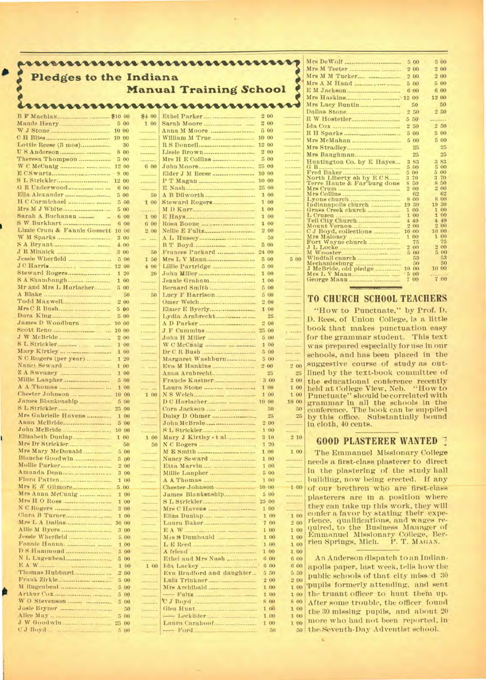| <b>Pledges to the Indiana</b>      | \$400<br>100<br>$5\,00$                              | <b>Manual Training School</b><br>nnnnnnnnnnnnnn |              |                               |
|------------------------------------|------------------------------------------------------|-------------------------------------------------|--------------|-------------------------------|
|                                    |                                                      |                                                 |              |                               |
|                                    |                                                      |                                                 |              |                               |
|                                    |                                                      |                                                 | 2 00         |                               |
|                                    |                                                      |                                                 | 200          |                               |
|                                    | .                                                    |                                                 | 500          | PRESERVAN                     |
|                                    | .<br>30<br>                                          |                                                 | 10 00        | <br>.                         |
| 8 00                               |                                                      |                                                 | 2 00         | and some                      |
| Theresa Thompson<br>5 00           |                                                      |                                                 | 5 00         |                               |
| 8 00                               | 600<br>                                              |                                                 |              | <br>---------                 |
| 12 00                              | $\frac{1}{2}$                                        |                                                 |              | ---------                     |
|                                    | 6 00<br>                                             |                                                 | 25 00        |                               |
| 500                                | 50                                                   | A B Dilworth                                    | 1 00         |                               |
| 500                                | 5 00<br>1 00<br>---------                            |                                                 | 100<br>1 00  |                               |
| Sarah A Buchanan                   | 6 00<br>100                                          |                                                 | 100          |                               |
|                                    | 6 00<br>6 00                                         |                                                 | 1 00         | ---------                     |
| Lizzie Crum & Fannie Gossett 10 00 | 200                                                  |                                                 | 200          |                               |
| 3 00<br>400                        | and such                                             |                                                 | 5 00         | 50<br><br>.                   |
| 3 00                               | 50                                                   | Frances Packard  24 00                          |              | .                             |
|                                    | 5.00<br>150                                          | Mrs L V Mann                                    | 5 00         | 5 00                          |
|                                    | 400                                                  |                                                 | 5 00         | ---------                     |
| 1 00                               | 1 20<br>20<br>.                                      | Jennie Graham                                   | 100<br>100   | <br>                          |
| Mr and Mrs L Horlacher<br>500      | .                                                    |                                                 | 500          |                               |
| A Blake                            | 50<br>50                                             |                                                 | 5 00         |                               |
|                                    | 2 00<br>                                             |                                                 | 2 00         |                               |
| 5 00                               | .<br>5 00<br>-                                       |                                                 | 1 00         | <br>25<br>التقفويسية          |
| James D Woodburn<br>10 00          |                                                      |                                                 | 200          |                               |
| 10 00                              | <b>ARRESTOR</b>                                      |                                                 | 25 00        | a saadaa                      |
|                                    | 2 00<br>-------                                      | John H Miller                                   | 5 00         | $-$                           |
|                                    | 1 00<br>.<br>1 00<br><b><i><u>Processing</u></i></b> |                                                 | 1 00<br>500  | <br>                          |
| N C Rogers (per year)              | 1 20<br>                                             | Margaret Washburn                               | 500          |                               |
| 100                                | a ma                                                 | Eva M Hankins                                   | 200          | 200                           |
| Millie Lanpher                     | 100<br><b>Salvador</b><br>500                        | Francis Kastner                                 | 3 00         | 25<br>3 00                    |
|                                    | ---------<br>1 00<br><b>KEEP LINE</b>                |                                                 | 1 00         | 100                           |
| 10 00                              | 100                                                  |                                                 | 1 00         | 1 00                          |
| James Blankenship                  | 5 00<br><b>TELEVISION</b>                            |                                                 |              | 10 00                         |
| 25 00<br>Mrs Gabrielle Havens      | .<br>1 00<br>                                        |                                                 |              | 50<br>25                      |
|                                    | 5 00<br>                                             |                                                 | 200          | .                             |
| John McBride<br>10                 | 00                                                   |                                                 |              | 100                           |
| Elizabeth Dunlap<br>1 00           | 1 00                                                 | Mary J Kirtley . t al                           | 3 10         | 210                           |
| Mrs Mary McDonald                  | 50<br>50<br>5 00                                     |                                                 | 1 20<br>1 00 | <br>100                       |
| Blanche Goodwin                    | ---------<br>500<br>.                                | Nancy Seward                                    | 1 00         |                               |
|                                    | 2 00<br>$r = r$                                      |                                                 | 1 00         |                               |
|                                    | 3 00<br><b><i><u>ASSERPTION</u></i></b>              |                                                 | 5 00         | *********                     |
| 500                                | 1 00<br>.                                            |                                                 | 1 00         | <br>100                       |
| Mrs Anna McCuaig                   | 1 00<br>1                                            | James Blankenship                               |              | $5\,00$<br>munic              |
|                                    | 100<br>                                              |                                                 |              | <b><i><u><u>.</u></u></i></b> |
|                                    | 3 00<br><b>PERSONAL</b>                              |                                                 | 1 00         | <br>100                       |
| 30 00                              | 1 00<br>-------<br>                                  |                                                 |              | 1 00<br>7 00<br>200           |
|                                    | 3 00<br><b>PARADICAL</b>                             |                                                 |              | 1 00<br>100                   |
|                                    | 5 00<br>-                                            |                                                 |              | 1 00<br>1 00                  |
| Fannie Hanna,                      | 100<br><br>500                                       |                                                 | 1 00         | 100<br>1 00<br>1 00           |
|                                    | ---------<br>5 00<br>$-$ ********                    | Ethel and Mrs Nash                              |              | 6 00<br>600                   |
|                                    | 1 00<br>1 00                                         |                                                 |              | 600<br>600                    |
| Thomas Hubbard                     | 2 00                                                 | Eva Bradford and daughter                       |              | 550<br>5 50                   |
|                                    | 5 00<br>--------                                     |                                                 |              | 2 00<br>2 00                  |
|                                    | 500<br>ana air<br>500<br>تتعميه                      |                                                 |              | 1 00<br>1 00<br>100<br>1 00   |
|                                    | 5 00<br>marin                                        | C J Boyd                                        |              | 8 00<br>8 00                  |
|                                    | 50<br>.                                              |                                                 |              | 1 00<br>1 00                  |
|                                    | 5 00<br>12002111                                     |                                                 |              | 1 00<br>1 00                  |
| 25 00                              | للمتنبية<br>500                                      |                                                 |              | 100<br>100<br>50              |

|                             | 5 00                       | 5 00               |
|-----------------------------|----------------------------|--------------------|
|                             | 200                        | 200                |
|                             | 2 00                       | 200                |
|                             | 500                        | 5 00               |
| E M Jackson                 | 6 00                       | 6 00               |
|                             |                            | 12 00              |
|                             | 50                         | 50                 |
|                             | 2,50                       | 2 50               |
|                             |                            |                    |
|                             | 50<br>5.                   | .                  |
|                             | 250                        | 2.50               |
|                             | 5 00                       | 5 00               |
| Mrs McMahan                 | 5 00                       | 5 00               |
|                             | 25                         | 25                 |
|                             | 25                         | 25                 |
| Huntington Co. by E Hayes   | 83<br>3                    | 83<br>$\mathbf{3}$ |
|                             | 5<br>$^{00}$               | $^{0}$<br>5        |
|                             | 5<br>00                    | 5.<br>00           |
| North Liberty oh by E C S   | 3<br>70                    | 3<br>70            |
| Terre Haute & Far'burg dons | 8<br>50                    | 50<br>я            |
| Mrs Crum                    | $\overline{2}$<br>$^{(1)}$ | 200                |
|                             | 62                         | 62                 |
|                             | 8<br>$^{00}$               | 800                |
|                             | 19<br>30                   | 30<br>19           |
|                             | 1<br>$^{\alpha}$           | 1<br>$\Omega$      |
|                             | $\mathbf{1}$<br>00         | $\mathbf{1}$<br>00 |
|                             | 4<br>49                    | A.<br>49           |
|                             | 2<br>00                    | 2<br>00            |
| C J Boyd, collections       | 00<br>10                   | 00<br>10           |
|                             | 1<br>00                    | 00<br>1.           |
| Fort Wayne church           | 75                         | 75                 |
| J L Locke                   | 00                         | 2<br>$^{00}$       |
| M Wooster.                  | 5 00                       | 5 00               |
|                             | 昌隆                         | 53                 |
|                             | 50                         | 50                 |
| J McBride, old pledge       | $^{00}$<br>10              | 10 00              |
|                             | 5<br>00                    |                    |
|                             | 00<br>7                    | 700                |
|                             |                            |                    |

# **TO CHURCH SCHOOL TEACHERS**

"How to Punctuate," by Prof. D. D. Rees, of Union College, to a little book that makes punctuation easy for the grammar student. This text was prepared especially for use in our schools, and has been placed in the suggestive course of study as outlined by the text-book committee of the educational conference recently held at College View, Neb. "How to Punctuate" should be correlated with grammar in all the schools in the conference. The book can be supplied by this office. Substantially bound in cloth, 40 cents.

# **GOOD PLASTERER WANTED**

The Emmanuel Missionary College needs a first-class plasterer to direct in the plastering of the study hall building, now being erected. If any of our brethren who are first-class plasterers are in a position where they can take up this work, they will confer a favor by stating their expe-rience, qualifications, and wages re-quired, to the Business Manager of Emmanuel Missionary College. Berrien Springs, Mich. P. T. MAGAN.

An Anderson dispatch to an Indianapolis paper, last week, tells how the public schools of that city missed 30 •pupils formerly attending, and sent the truant officer to hunt them up. After some trouble, the officer found the 30 missing pupils, and about 20 more who had not been reported, in the.Seventh-Day Adventist school.